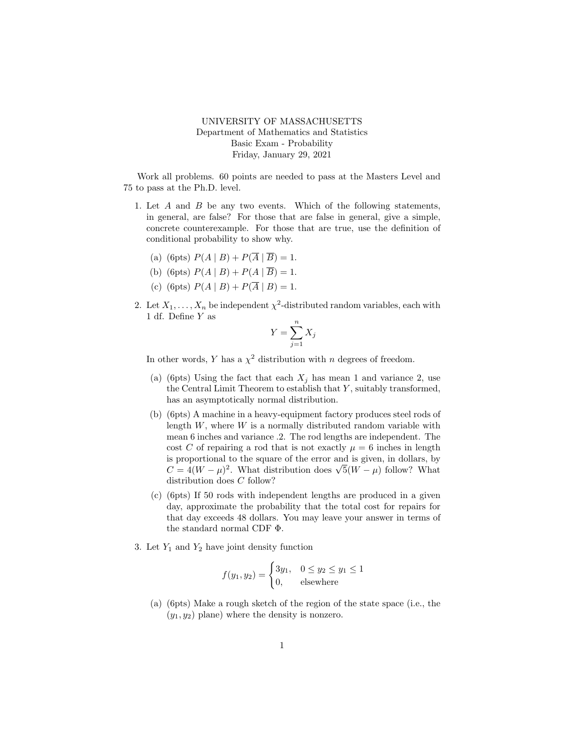## UNIVERSITY OF MASSACHUSETTS Department of Mathematics and Statistics Basic Exam - Probability Friday, January 29, 2021

Work all problems. 60 points are needed to pass at the Masters Level and 75 to pass at the Ph.D. level.

- 1. Let A and B be any two events. Which of the following statements, in general, are false? For those that are false in general, give a simple, concrete counterexample. For those that are true, use the definition of conditional probability to show why.
	- (a) (6pts)  $P(A | B) + P(\overline{A} | \overline{B}) = 1.$
	- (b) (6pts)  $P(A | B) + P(A | \overline{B}) = 1$ .
	- (c) (6pts)  $P(A | B) + P(\overline{A} | B) = 1.$
- 2. Let  $X_1, \ldots, X_n$  be independent  $\chi^2$ -distributed random variables, each with 1 df. Define Y as

$$
Y = \sum_{j=1}^{n} X_j
$$

In other words, Y has a  $\chi^2$  distribution with n degrees of freedom.

- (a) (6pts) Using the fact that each  $X_j$  has mean 1 and variance 2, use the Central Limit Theorem to establish that  $Y$ , suitably transformed, has an asymptotically normal distribution.
- (b) (6pts) A machine in a heavy-equipment factory produces steel rods of length  $W$ , where  $W$  is a normally distributed random variable with mean 6 inches and variance .2. The rod lengths are independent. The cost C of repairing a rod that is not exactly  $\mu = 6$  inches in length is proportional to the square of the error and is given, in dollars, by is proportional to the square of the error and is given, in dollars, by  $C = 4(W - \mu)^2$ . What distribution does  $\sqrt{5}(W - \mu)$  follow? What distribution does C follow?
- (c) (6pts) If 50 rods with independent lengths are produced in a given day, approximate the probability that the total cost for repairs for that day exceeds 48 dollars. You may leave your answer in terms of the standard normal CDF Φ.
- 3. Let  $Y_1$  and  $Y_2$  have joint density function

$$
f(y_1, y_2) = \begin{cases} 3y_1, & 0 \le y_2 \le y_1 \le 1 \\ 0, & \text{elsewhere} \end{cases}
$$

(a) (6pts) Make a rough sketch of the region of the state space (i.e., the  $(y_1, y_2)$  plane) where the density is nonzero.